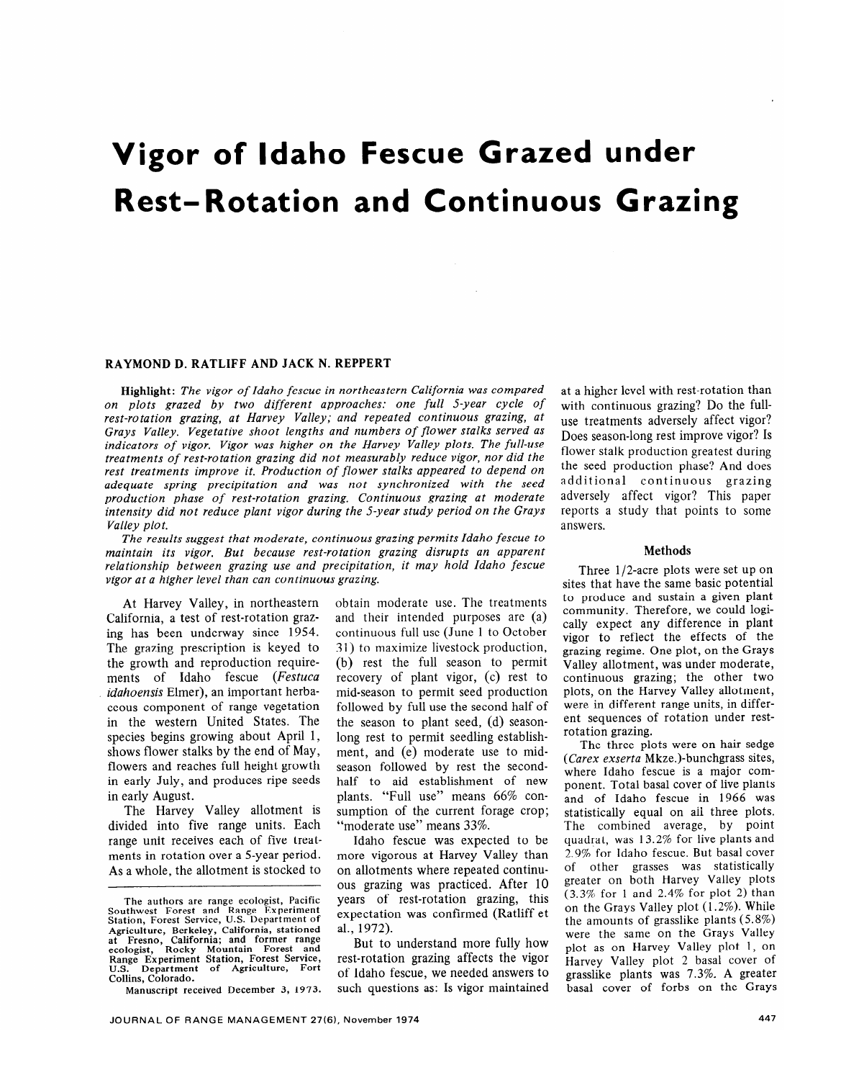# **Vigor of Idaho Fescue Grazed under Rest-Rotation and Continuous Grazing**

## RAYMOND D. RATLIFF AND JACK N. REPPERT

Highlight: *The vigor of Idaho fescue in northeastern California was compared on plots grazed by two different approaches: one full 5-year cycle of rest-rotation grazing, at Harvey Valley; and repeated continuous grazing, at Grays Valley. Vegetative shoot lengths and numbers of flower stalks served as indicators of vigor. Vigor was higher on the Harvey Valley plots. The full-use treatments of rest-rotation grazing did not measurably reduce vigor, nor did the rest treatments improve it. Production of flower stalks appeared to depend on adequate spring precipitation and was not synchronized with the seed production phase of rest-rotation grazing. Continuous grazing at moderate intensity did not reduce plant vigor during the 5-year study period on the Grays Valley plot.* 

*The results suggest that moderate, continuous grazing permits Idaho fescue to maintain its vigor. But because rest-rotation grazing disrupts an apparent relationship between grazing use and precipitation, it may hold Idaho fescue vigor at a higher level than can continuous grazing.* 

At Harvey Valley, in northeastern California, a test of rest-rotation grazing has been underway since 1954. The grazing prescription is keyed to the growth and reproduction requirements of Idaho fescue *(Festuca idahoensis* Elmer), an important herbaceous component of range vegetation in the western United States. The species begins growing about April 1, shows flower stalks by the end of May, flowers and reaches full height growth in early July, and produces ripe seeds in early August.

The Harvey Valley allotment is divided into five range units. Each range unit receives each of five treatments in rotation over a 5-year period. As a whole, the allotment is stocked to

**Manuscript received December 3, 1973.** 

obtain moderate use. The treatments and their intended purposes are (a) continuous full use (June 1 to October 3 1) to maximize livestock production, (b) rest the full season to permit recovery of plant vigor, (c) rest to mid-season to permit seed production followed by full use the second half of the season to plant seed, (d) seasonlong rest to permit seedling establishment, and (e) moderate use to midseason followed by rest the secondhalf to aid establishment of new plants. "Full use" means 66% consumption of the current forage crop; "moderate use" means 33%.

Idaho fescue was expected to be more vigorous at Harvey Valley than on allotments where repeated continuous grazing was practiced. After 10 years of rest-rotation grazing, this expectation was confirmed (Ratliff et al., 1972).

But to understand more fully how rest-rotation grazing affects the vigor of Idaho fescue, we needed answers to such questions as: Is vigor maintained at a higher level with rest-rotation than with continuous grazing? Do the fulluse treatments adversely affect vigor? Does season-long rest improve vigor? Is flower stalk production greatest during the seed production phase? And does additional continuous grazing adversely affect vigor? This paper reports a study that points to some answers.

### Methods

Three l/2-acre plots were set up on sites that have the same basic potential to produce and sustain a given plant community. Therefore, we could logically expect any difference in plant vigor to reflect the effects of the grazing regime. One plot, on the Grays Valley allotment, was under moderate, continuous grazing; the other two plots, on the Harvey Valley allotment, were in different range units, in different sequences of rotation under restrotation grazing.

The three plots were on hair sedge *(Carex exserta* Mkze.)-bunchgrass sites, where Idaho fescue is a major component. Total basal cover of live plants and of Idaho fescue in 1966 was statistically equal on aii three plots. The combined average, by point quadrat, was 13.2% for live plants and *2.9%* for Idaho fescue. But basal cover of other grasses was statistically greater on both Harvey Valley plots (3.3% for 1 and 2.4% for plot 2) than on the Grays Valley plot (1.2%). While the amounts of grasslike plants (5.8%) were the same on the Grays Valley plot as on Harvey Valley plot 1, on **Harvey Valley plot** *2* basal cover of grasslike plants was 7.3%. A greater basal cover of forbs on the Grays

**The authors are range ecologist, Pacific Southwest Forest and Range Experiment Station, Forest Service, U.S. Department of Agriculture, Berkeley, California, stationed at Fresno, California; and former range ecologist, Rocky Mountain Forest and Range Experiment Station, Forest Service,**  Department of Agriculture, Fort **Collins, Colorado.**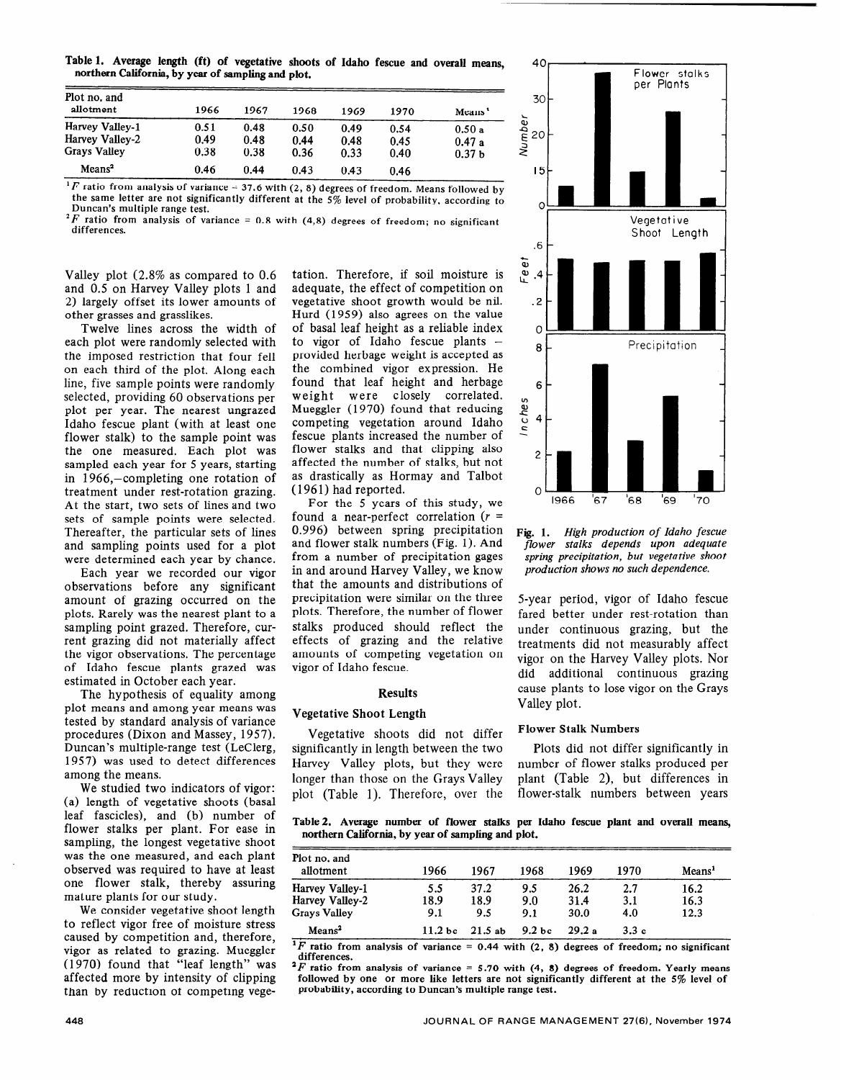Table 1. Average length (ft) of vegetative shoots of Idaho fescue and overall means, northern California, by year of sampIing and plot.

| Plot no. and<br>allotment | 1966 | 1967 | 1968 | 1969 | 1970 | Means <sup>1</sup> |
|---------------------------|------|------|------|------|------|--------------------|
| Harvey Valley-1           | 0.51 | 0.48 | 0.50 | 0.49 | 0.54 | 0.50a              |
| Harvey Valley-2           | 0.49 | 0.48 | 0.44 | 0.48 | 0.45 | 0.47a              |
| <b>Grays Valley</b>       | 0.38 | 0.38 | 0.36 | 0.33 | 0.40 | 0.37 <sub>b</sub>  |
| Means <sup>2</sup>        | 0.46 | 0.44 | 0.43 | 0.43 | 0.46 |                    |

<sup>1</sup>F ratio from analysis of variance  $-37.6$  with (2, 8) degrees of freedom. Means followed by **the same letter are not significantly different at the 5% level of probability, according to Duncan's multiple range test.** 

 $^{2}F$  ratio from analysis of variance = 0.8 with (4,8) degrees of freedom; no significant **differences.** \_

Valley plot (2.8% as compared to 0.6 and 0.5 on Harvey Valley plots 1 and **2)** largely offset its lower amounts of other grasses and grasslikes.

Twelve lines across the width of each plot were randomly selected with the imposed restriction that four fell on each third of the plot. Along each line, five sample points were randomly selected, providing 60 observations per plot per year. The nearest ungrazed Idaho fescue plant (with at least one flower stalk) to the sample point was the one measured. Each plot was sampled each year for 5 years, starting in 1966,-completing one rotation of treatment under rest-rotation grazing. At the start, two sets of lines and two sets of sample points were selected. Thereafter, the particular sets of lines and sampling points used for a plot were determined each year by chance.

Each year we recorded our vigor observations before any significant amount of grazing occurred on the plots. Rarely was the nearest plant to a sampling point grazed. Therefore, current grazing did not materially affect the vigor observations. The percentage of Idaho fescue plants grazed was estimated in October each year.

The hypothesis of equality among plot means and among year means was tested by standard analysis of variance procedures (Dixon and Massey, 1957). Duncan's multiple-range test (LeClerg, 1957) was used to detect differences among the means.

We studied two indicators of vigor: (a) length of vegetative shoots (basal leaf fascicles), and (b) number of flower stalks per plant. For ease in sampling, the longest vegetative shoot was the one measured, and each plant observed was required to have at least one flower stalk, thereby assuring mature plants for our study.

We consider vegetative shoot length to reflect vigor free of moisture stress caused by competition and, therefore, vigor as related to grazing. Mueggler (1970) found that "leaf length" was affected more by intensity of clipping than by reduction ot competing vege-

tation. Therefore, if soil moisture is adequate, the effect of competition on vegetative shoot growth would be nil. Hurd (1959) also agrees on the value of basal leaf height as a reliable index to vigor of Idaho fescue plants  $$ provided herbage weight is accepted as the combined vigor expression. He found that leaf height and herbage weight were closely correlated. Mueggler (1970) found that reducing competing vegetation around Idaho fescue plants increased the number of flower stalks and that clipping also affected the number of stalks, but not as drastically as Hormay and Talbot (196 1) had reported.

For the 5 years of this study, we found a near-perfect correlation  $(r =$ 0.996) between spring precipitation and flower stalk numbers (Fig. 1). And from a number of precipitation gages in and around Harvey Valley, we know that the amounts and distributions of precipitation were similar on the three plots. Therefore, the number of flower stalks produced should reflect the effects of grazing and the relative amounts of competing vegetation on vigor of Idaho fescue.

### Results

## Vegetative Shoot Length

Vegetative shoots did not differ significantly in length between the two Harvey Valley plots, but they were longer than those on the Grays Valley plot (Table 1). Therefore, over the



**Fig. 1.** *High production of Idaho fescue flower stalks depends upon adequate spring precipitation, but vegetative shoot production shows no such dependence.* 

5-year period, vigor of Idaho fescue fared better under rest-rotation than under continuous grazing, but the treatments did not measurably affect vigor on the Harvey Valley plots. Nor did additional continuous grazing cause plants to lose vigor on the Grays Valley plot.

### Flower Stalk Numbers

Plots did not differ significantly in number of flower stalks produced per plant (Table 2), but differences in flower-stalk numbers between years

Table 2. Average number of flower stalks **per** Idaho fescue plant and overall means, northern California, by year of sampling and plot.

| Plot no. and<br>allotment | 1966               | 1967   | 1968               | 1969  | 1970 | Means <sup>1</sup> |
|---------------------------|--------------------|--------|--------------------|-------|------|--------------------|
| Harvey Valley-1           | 5.5                | 37.2   | 9.5                | 26.2  | 2.7  | 16.2               |
| Harvey Valley-2           | 18.9               | 18.9   | 9.0                | 31.4  | 3.1  | 16.3               |
| Grays Valley              | 9.1                | 9.5    | 9.1                | 30.0  | 4.0  | 12.3               |
| Mean <sup>2</sup>         | 11.2 <sub>bc</sub> | 21.5ab | 9.2 <sub>b</sub> c | 29.2a | 3.3c |                    |

<sup>1</sup>F ratio from analysis of variance = 0.44 with  $(2, 8)$  degrees of freedom; no significant **differences.** 

**'F ratio from analysis of variance = 5.70 with (4, 8) degrees of freedom. Yearly means followed by one or more like letters are not significantly different at the 5% level of probability, according to Duncan's multiple range test.**